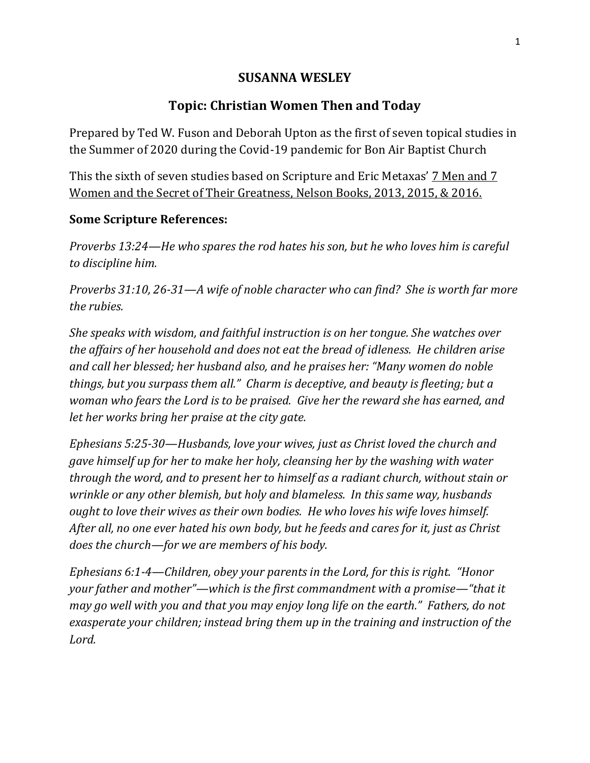## **SUSANNA WESLEY**

## **Topic: Christian Women Then and Today**

Prepared by Ted W. Fuson and Deborah Upton as the first of seven topical studies in the Summer of 2020 during the Covid-19 pandemic for Bon Air Baptist Church

This the sixth of seven studies based on Scripture and Eric Metaxas' 7 Men and 7 Women and the Secret of Their Greatness, Nelson Books, 2013, 2015, & 2016.

## **Some Scripture References:**

*Proverbs 13:24—He who spares the rod hates his son, but he who loves him is careful to discipline him.*

*Proverbs 31:10, 26-31—A wife of noble character who can find? She is worth far more the rubies.*

*She speaks with wisdom, and faithful instruction is on her tongue. She watches over the affairs of her household and does not eat the bread of idleness. He children arise and call her blessed; her husband also, and he praises her: "Many women do noble things, but you surpass them all." Charm is deceptive, and beauty is fleeting; but a woman who fears the Lord is to be praised. Give her the reward she has earned, and let her works bring her praise at the city gate.*

*Ephesians 5:25-30—Husbands, love your wives, just as Christ loved the church and gave himself up for her to make her holy, cleansing her by the washing with water through the word, and to present her to himself as a radiant church, without stain or wrinkle or any other blemish, but holy and blameless. In this same way, husbands ought to love their wives as their own bodies. He who loves his wife loves himself. After all, no one ever hated his own body, but he feeds and cares for it, just as Christ does the church—for we are members of his body.*

*Ephesians 6:1-4—Children, obey your parents in the Lord, for this is right. "Honor your father and mother"—which is the first commandment with a promise—"that it may go well with you and that you may enjoy long life on the earth." Fathers, do not exasperate your children; instead bring them up in the training and instruction of the Lord.*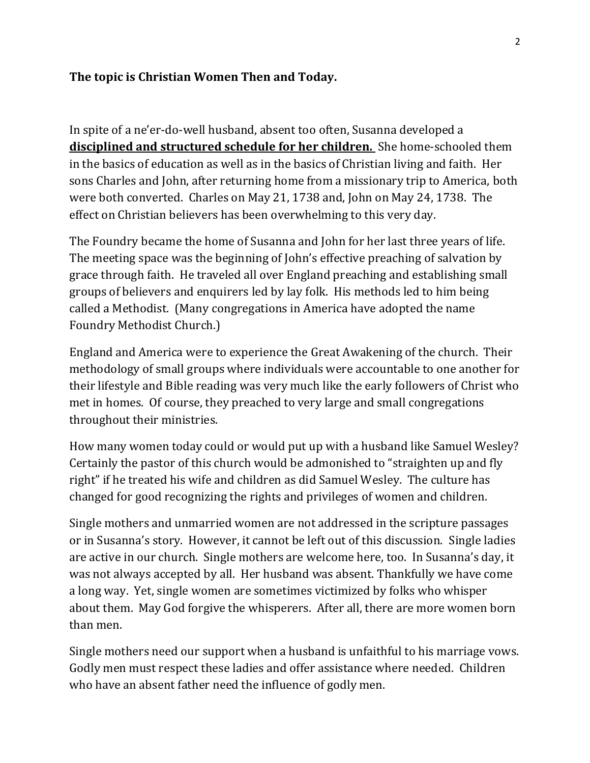## **The topic is Christian Women Then and Today.**

In spite of a ne'er-do-well husband, absent too often, Susanna developed a **disciplined and structured schedule for her children.** She home-schooled them in the basics of education as well as in the basics of Christian living and faith. Her sons Charles and John, after returning home from a missionary trip to America, both were both converted. Charles on May 21, 1738 and, John on May 24, 1738. The effect on Christian believers has been overwhelming to this very day.

The Foundry became the home of Susanna and John for her last three years of life. The meeting space was the beginning of John's effective preaching of salvation by grace through faith. He traveled all over England preaching and establishing small groups of believers and enquirers led by lay folk. His methods led to him being called a Methodist. (Many congregations in America have adopted the name Foundry Methodist Church.)

England and America were to experience the Great Awakening of the church. Their methodology of small groups where individuals were accountable to one another for their lifestyle and Bible reading was very much like the early followers of Christ who met in homes. Of course, they preached to very large and small congregations throughout their ministries.

How many women today could or would put up with a husband like Samuel Wesley? Certainly the pastor of this church would be admonished to "straighten up and fly right" if he treated his wife and children as did Samuel Wesley. The culture has changed for good recognizing the rights and privileges of women and children.

Single mothers and unmarried women are not addressed in the scripture passages or in Susanna's story. However, it cannot be left out of this discussion. Single ladies are active in our church. Single mothers are welcome here, too. In Susanna's day, it was not always accepted by all. Her husband was absent. Thankfully we have come a long way. Yet, single women are sometimes victimized by folks who whisper about them. May God forgive the whisperers. After all, there are more women born than men.

Single mothers need our support when a husband is unfaithful to his marriage vows. Godly men must respect these ladies and offer assistance where needed. Children who have an absent father need the influence of godly men.